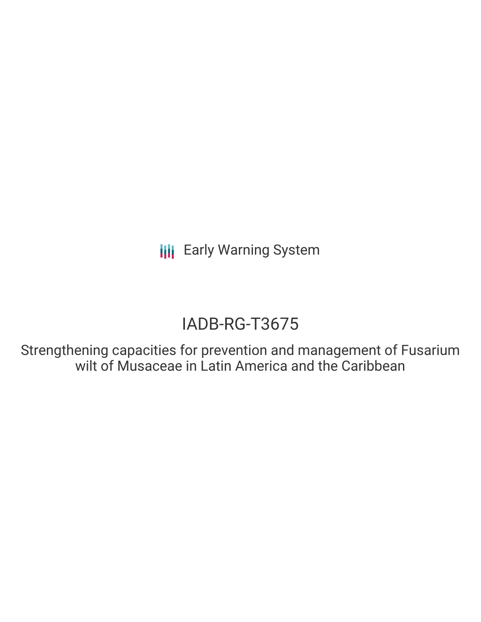**III** Early Warning System

# IADB-RG-T3675

Strengthening capacities for prevention and management of Fusarium wilt of Musaceae in Latin America and the Caribbean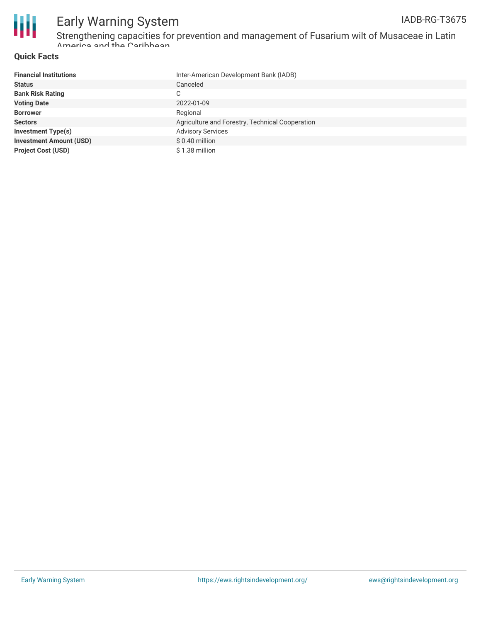

### Early Warning System IADB-RG-T3675

Strengthening capacities for prevention and management of Fusarium wilt of Musaceae in Latin America and the Caribbean

### **Quick Facts**

| <b>Financial Institutions</b>  | Inter-American Development Bank (IADB)          |
|--------------------------------|-------------------------------------------------|
| <b>Status</b>                  | Canceled                                        |
| <b>Bank Risk Rating</b>        | C                                               |
| <b>Voting Date</b>             | 2022-01-09                                      |
| <b>Borrower</b>                | Regional                                        |
| <b>Sectors</b>                 | Agriculture and Forestry, Technical Cooperation |
| <b>Investment Type(s)</b>      | <b>Advisory Services</b>                        |
| <b>Investment Amount (USD)</b> | \$0.40 million                                  |
| <b>Project Cost (USD)</b>      | \$1.38 million                                  |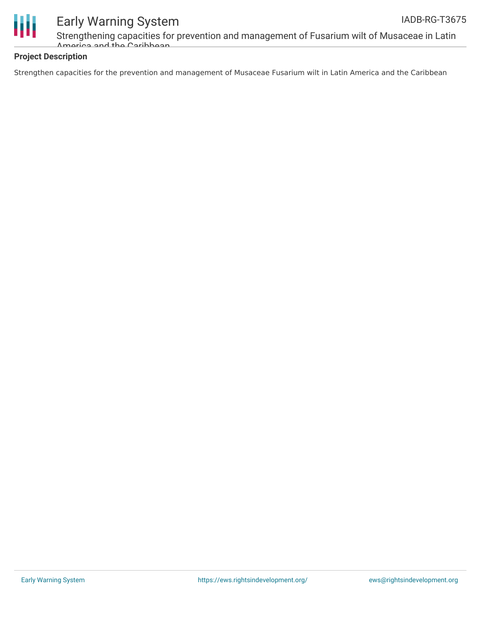

## Early Warning System

Strengthening capacities for prevention and management of Fusarium wilt of Musaceae in Latin America and the Caribbean

### **Project Description**

Strengthen capacities for the prevention and management of Musaceae Fusarium wilt in Latin America and the Caribbean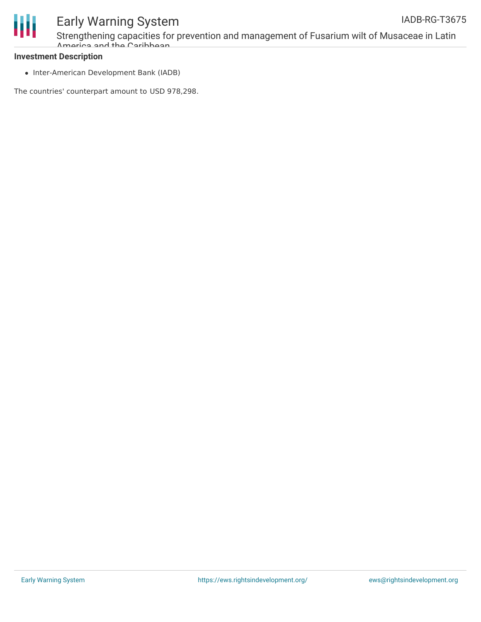



### Early Warning System Strengthening capacities for prevention and management of Fusarium wilt of Musaceae in Latin

### **Investment Description**

• Inter-American Development Bank (IADB)

Amarica and the Caribbean

The countries' counterpart amount to USD 978,298.